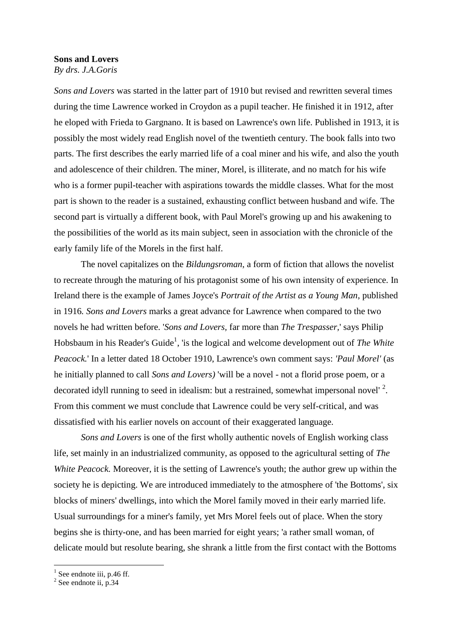## **Sons and Lovers** *By drs. J.A.Goris*

*Sons and Lovers* was started in the latter part of 1910 but revised and rewritten several times during the time Lawrence worked in Croydon as a pupil teacher. He finished it in 1912, after he eloped with Frieda to Gargnano. It is based on Lawrence's own life. Published in 1913, it is possibly the most widely read English novel of the twentieth century. The book falls into two parts. The first describes the early married life of a coal miner and his wife, and also the youth and adolescence of their children. The miner, Morel, is illiterate, and no match for his wife who is a former pupil-teacher with aspirations towards the middle classes. What for the most part is shown to the reader is a sustained, exhausting conflict between husband and wife. The second part is virtually a different book, with Paul Morel's growing up and his awakening to the possibilities of the world as its main subject, seen in association with the chronicle of the early family life of the Morels in the first half.

The novel capitalizes on the *Bildungsroman*, a form of fiction that allows the novelist to recreate through the maturing of his protagonist some of his own intensity of experience. In Ireland there is the example of James Joyce's *Portrait of the Artist as a Young Man*, published in 1916*. Sons and Lovers* marks a great advance for Lawrence when compared to the two novels he had written before. '*Sons and Lovers,* far more than *The Trespasser,*' says Philip Hobsbaum in his Reader's Guide<sup>1</sup>, 'is the logical and welcome development out of *The White Peacock.*' In a letter dated 18 October 1910, Lawrence's own comment says: *'Paul Morel'* (as he initially planned to call *Sons and Lovers)* 'will be a novel - not a florid prose poem, or a decorated idyll running to seed in idealism: but a restrained, somewhat impersonal novel'<sup>2</sup>. From this comment we must conclude that Lawrence could be very self-critical, and was dissatisfied with his earlier novels on account of their exaggerated language.

*Sons and Lovers* is one of the first wholly authentic novels of English working class life, set mainly in an industrialized community, as opposed to the agricultural setting of *The White Peacock.* Moreover, it is the setting of Lawrence's youth; the author grew up within the society he is depicting. We are introduced immediately to the atmosphere of 'the Bottoms', six blocks of miners' dwellings, into which the Morel family moved in their early married life. Usual surroundings for a miner's family, yet Mrs Morel feels out of place. When the story begins she is thirty-one, and has been married for eight years; 'a rather small woman, of delicate mould but resolute bearing, she shrank a little from the first contact with the Bottoms

<sup>&</sup>lt;u>.</u> <sup>1</sup> See endnote iii, p.46 ff.

 $2$  See endnote ii, p.34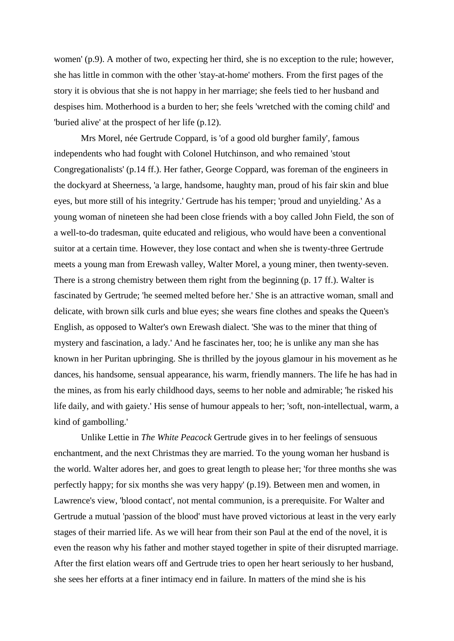women' (p.9). A mother of two, expecting her third, she is no exception to the rule; however, she has little in common with the other 'stay-at-home' mothers. From the first pages of the story it is obvious that she is not happy in her marriage; she feels tied to her husband and despises him. Motherhood is a burden to her; she feels 'wretched with the coming child' and 'buried alive' at the prospect of her life (p.12).

Mrs Morel, née Gertrude Coppard, is 'of a good old burgher family', famous independents who had fought with Colonel Hutchinson, and who remained 'stout Congregationalists' (p.14 ff.). Her father, George Coppard, was foreman of the engineers in the dockyard at Sheerness, 'a large, handsome, haughty man, proud of his fair skin and blue eyes, but more still of his integrity.' Gertrude has his temper; 'proud and unyielding.' As a young woman of nineteen she had been close friends with a boy called John Field, the son of a well-to-do tradesman, quite educated and religious, who would have been a conventional suitor at a certain time. However, they lose contact and when she is twenty-three Gertrude meets a young man from Erewash valley, Walter Morel, a young miner, then twenty-seven. There is a strong chemistry between them right from the beginning (p. 17 ff.). Walter is fascinated by Gertrude; 'he seemed melted before her.' She is an attractive woman, small and delicate, with brown silk curls and blue eyes; she wears fine clothes and speaks the Queen's English, as opposed to Walter's own Erewash dialect. 'She was to the miner that thing of mystery and fascination, a lady.' And he fascinates her, too; he is unlike any man she has known in her Puritan upbringing. She is thrilled by the joyous glamour in his movement as he dances, his handsome, sensual appearance, his warm, friendly manners. The life he has had in the mines, as from his early childhood days, seems to her noble and admirable; 'he risked his life daily, and with gaiety.' His sense of humour appeals to her; 'soft, non-intellectual, warm, a kind of gambolling.'

Unlike Lettie in *The White Peacock* Gertrude gives in to her feelings of sensuous enchantment, and the next Christmas they are married. To the young woman her husband is the world. Walter adores her, and goes to great length to please her; 'for three months she was perfectly happy; for six months she was very happy' (p.19). Between men and women, in Lawrence's view, 'blood contact', not mental communion, is a prerequisite. For Walter and Gertrude a mutual 'passion of the blood' must have proved victorious at least in the very early stages of their married life. As we will hear from their son Paul at the end of the novel, it is even the reason why his father and mother stayed together in spite of their disrupted marriage. After the first elation wears off and Gertrude tries to open her heart seriously to her husband, she sees her efforts at a finer intimacy end in failure. In matters of the mind she is his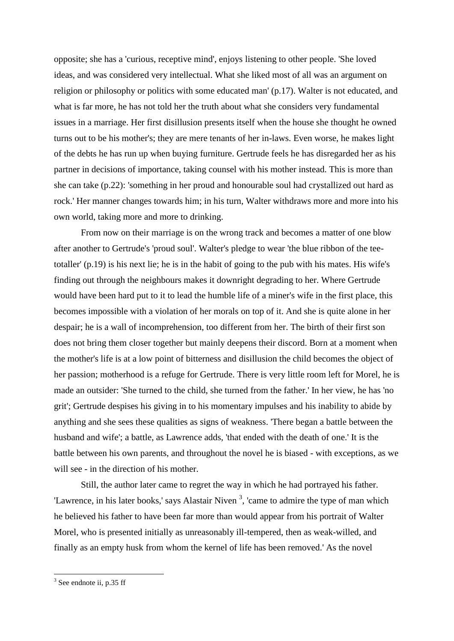opposite; she has a 'curious, receptive mind', enjoys listening to other people. 'She loved ideas, and was considered very intellectual. What she liked most of all was an argument on religion or philosophy or politics with some educated man' (p.17). Walter is not educated, and what is far more, he has not told her the truth about what she considers very fundamental issues in a marriage. Her first disillusion presents itself when the house she thought he owned turns out to be his mother's; they are mere tenants of her in-laws. Even worse, he makes light of the debts he has run up when buying furniture. Gertrude feels he has disregarded her as his partner in decisions of importance, taking counsel with his mother instead. This is more than she can take (p.22): 'something in her proud and honourable soul had crystallized out hard as rock.' Her manner changes towards him; in his turn, Walter withdraws more and more into his own world, taking more and more to drinking.

From now on their marriage is on the wrong track and becomes a matter of one blow after another to Gertrude's 'proud soul'. Walter's pledge to wear 'the blue ribbon of the teetotaller' (p.19) is his next lie; he is in the habit of going to the pub with his mates. His wife's finding out through the neighbours makes it downright degrading to her. Where Gertrude would have been hard put to it to lead the humble life of a miner's wife in the first place, this becomes impossible with a violation of her morals on top of it. And she is quite alone in her despair; he is a wall of incomprehension, too different from her. The birth of their first son does not bring them closer together but mainly deepens their discord. Born at a moment when the mother's life is at a low point of bitterness and disillusion the child becomes the object of her passion; motherhood is a refuge for Gertrude. There is very little room left for Morel, he is made an outsider: 'She turned to the child, she turned from the father.' In her view, he has 'no grit'; Gertrude despises his giving in to his momentary impulses and his inability to abide by anything and she sees these qualities as signs of weakness. 'There began a battle between the husband and wife'; a battle, as Lawrence adds, 'that ended with the death of one.' It is the battle between his own parents, and throughout the novel he is biased - with exceptions, as we will see - in the direction of his mother.

Still, the author later came to regret the way in which he had portrayed his father. 'Lawrence, in his later books,' says Alastair Niven<sup>3</sup>, 'came to admire the type of man which he believed his father to have been far more than would appear from his portrait of Walter Morel, who is presented initially as unreasonably ill-tempered, then as weak-willed, and finally as an empty husk from whom the kernel of life has been removed.' As the novel

 $3$  See endnote ii, p.35 ff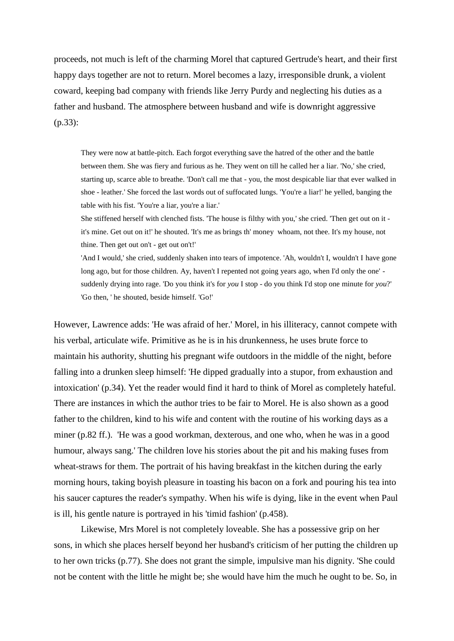proceeds, not much is left of the charming Morel that captured Gertrude's heart, and their first happy days together are not to return. Morel becomes a lazy, irresponsible drunk, a violent coward, keeping bad company with friends like Jerry Purdy and neglecting his duties as a father and husband. The atmosphere between husband and wife is downright aggressive (p.33):

They were now at battle-pitch. Each forgot everything save the hatred of the other and the battle between them. She was fiery and furious as he. They went on till he called her a liar. 'No,' she cried, starting up, scarce able to breathe. 'Don't call me that - you, the most despicable liar that ever walked in shoe - leather.' She forced the last words out of suffocated lungs. 'You're a liar!' he yelled, banging the table with his fist. 'You're a liar, you're a liar.'

She stiffened herself with clenched fists. 'The house is filthy with you,' she cried. 'Then get out on it it's mine. Get out on it!' he shouted. 'It's me as brings th' money whoam, not thee. It's my house, not thine. Then get out on't - get out on't!'

'And I would,' she cried, suddenly shaken into tears of impotence. 'Ah, wouldn't I, wouldn't I have gone long ago, but for those children. Ay, haven't I repented not going years ago, when I'd only the one' suddenly drying into rage. 'Do you think it's for *you* I stop - do you think I'd stop one minute for *you*?' 'Go then, ' he shouted, beside himself. 'Go!'

However, Lawrence adds: 'He was afraid of her.' Morel, in his illiteracy, cannot compete with his verbal, articulate wife. Primitive as he is in his drunkenness, he uses brute force to maintain his authority, shutting his pregnant wife outdoors in the middle of the night, before falling into a drunken sleep himself: 'He dipped gradually into a stupor, from exhaustion and intoxication' (p.34). Yet the reader would find it hard to think of Morel as completely hateful. There are instances in which the author tries to be fair to Morel. He is also shown as a good father to the children, kind to his wife and content with the routine of his working days as a miner (p.82 ff.). 'He was a good workman, dexterous, and one who, when he was in a good humour, always sang.' The children love his stories about the pit and his making fuses from wheat-straws for them. The portrait of his having breakfast in the kitchen during the early morning hours, taking boyish pleasure in toasting his bacon on a fork and pouring his tea into his saucer captures the reader's sympathy. When his wife is dying, like in the event when Paul is ill, his gentle nature is portrayed in his 'timid fashion' (p.458).

Likewise, Mrs Morel is not completely loveable. She has a possessive grip on her sons, in which she places herself beyond her husband's criticism of her putting the children up to her own tricks (p.77). She does not grant the simple, impulsive man his dignity. 'She could not be content with the little he might be; she would have him the much he ought to be. So, in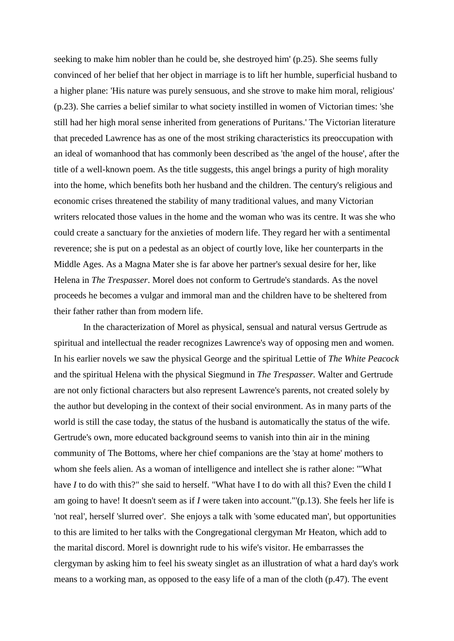seeking to make him nobler than he could be, she destroyed him' (p.25). She seems fully convinced of her belief that her object in marriage is to lift her humble, superficial husband to a higher plane: 'His nature was purely sensuous, and she strove to make him moral, religious' (p.23). She carries a belief similar to what society instilled in women of Victorian times: 'she still had her high moral sense inherited from generations of Puritans.' The Victorian literature that preceded Lawrence has as one of the most striking characteristics its preoccupation with an ideal of womanhood that has commonly been described as 'the angel of the house', after the title of a well-known poem. As the title suggests, this angel brings a purity of high morality into the home, which benefits both her husband and the children. The century's religious and economic crises threatened the stability of many traditional values, and many Victorian writers relocated those values in the home and the woman who was its centre. It was she who could create a sanctuary for the anxieties of modern life. They regard her with a sentimental reverence; she is put on a pedestal as an object of courtly love, like her counterparts in the Middle Ages. As a Magna Mater she is far above her partner's sexual desire for her, like Helena in *The Trespasser*. Morel does not conform to Gertrude's standards. As the novel proceeds he becomes a vulgar and immoral man and the children have to be sheltered from their father rather than from modern life.

In the characterization of Morel as physical, sensual and natural versus Gertrude as spiritual and intellectual the reader recognizes Lawrence's way of opposing men and women. In his earlier novels we saw the physical George and the spiritual Lettie of *The White Peacock* and the spiritual Helena with the physical Siegmund in *The Trespasser.* Walter and Gertrude are not only fictional characters but also represent Lawrence's parents, not created solely by the author but developing in the context of their social environment. As in many parts of the world is still the case today, the status of the husband is automatically the status of the wife. Gertrude's own, more educated background seems to vanish into thin air in the mining community of The Bottoms, where her chief companions are the 'stay at home' mothers to whom she feels alien. As a woman of intelligence and intellect she is rather alone: '"What have *I* to do with this?" she said to herself. "What have I to do with all this? Even the child I am going to have! It doesn't seem as if *I* were taken into account."'(p.13). She feels her life is 'not real', herself 'slurred over'. She enjoys a talk with 'some educated man', but opportunities to this are limited to her talks with the Congregational clergyman Mr Heaton, which add to the marital discord. Morel is downright rude to his wife's visitor. He embarrasses the clergyman by asking him to feel his sweaty singlet as an illustration of what a hard day's work means to a working man, as opposed to the easy life of a man of the cloth (p.47). The event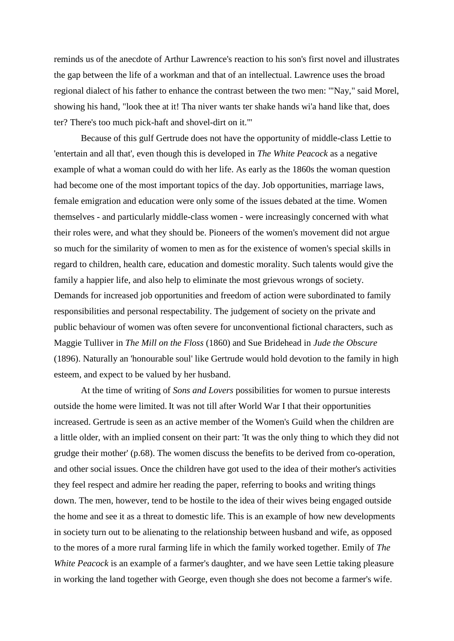reminds us of the anecdote of Arthur Lawrence's reaction to his son's first novel and illustrates the gap between the life of a workman and that of an intellectual. Lawrence uses the broad regional dialect of his father to enhance the contrast between the two men: '"Nay," said Morel, showing his hand, "look thee at it! Tha niver wants ter shake hands wi'a hand like that, does ter? There's too much pick-haft and shovel-dirt on it."'

Because of this gulf Gertrude does not have the opportunity of middle-class Lettie to 'entertain and all that', even though this is developed in *The White Peacock* as a negative example of what a woman could do with her life. As early as the 1860s the woman question had become one of the most important topics of the day. Job opportunities, marriage laws, female emigration and education were only some of the issues debated at the time. Women themselves - and particularly middle-class women - were increasingly concerned with what their roles were, and what they should be. Pioneers of the women's movement did not argue so much for the similarity of women to men as for the existence of women's special skills in regard to children, health care, education and domestic morality. Such talents would give the family a happier life, and also help to eliminate the most grievous wrongs of society. Demands for increased job opportunities and freedom of action were subordinated to family responsibilities and personal respectability. The judgement of society on the private and public behaviour of women was often severe for unconventional fictional characters, such as Maggie Tulliver in *The Mill on the Floss* (1860) and Sue Bridehead in *Jude the Obscure* (1896). Naturally an 'honourable soul' like Gertrude would hold devotion to the family in high esteem, and expect to be valued by her husband.

At the time of writing of *Sons and Lovers* possibilities for women to pursue interests outside the home were limited. It was not till after World War I that their opportunities increased. Gertrude is seen as an active member of the Women's Guild when the children are a little older, with an implied consent on their part: 'It was the only thing to which they did not grudge their mother' (p.68). The women discuss the benefits to be derived from co-operation, and other social issues. Once the children have got used to the idea of their mother's activities they feel respect and admire her reading the paper, referring to books and writing things down. The men, however, tend to be hostile to the idea of their wives being engaged outside the home and see it as a threat to domestic life. This is an example of how new developments in society turn out to be alienating to the relationship between husband and wife, as opposed to the mores of a more rural farming life in which the family worked together. Emily of *The White Peacock* is an example of a farmer's daughter, and we have seen Lettie taking pleasure in working the land together with George, even though she does not become a farmer's wife.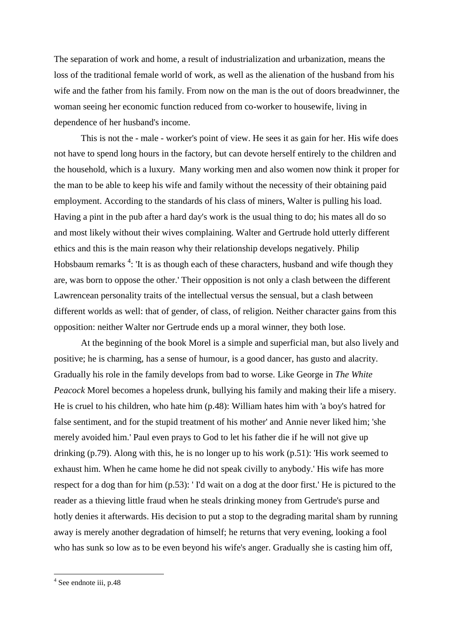The separation of work and home, a result of industrialization and urbanization, means the loss of the traditional female world of work, as well as the alienation of the husband from his wife and the father from his family. From now on the man is the out of doors breadwinner, the woman seeing her economic function reduced from co-worker to housewife, living in dependence of her husband's income.

This is not the - male - worker's point of view. He sees it as gain for her. His wife does not have to spend long hours in the factory, but can devote herself entirely to the children and the household, which is a luxury. Many working men and also women now think it proper for the man to be able to keep his wife and family without the necessity of their obtaining paid employment. According to the standards of his class of miners, Walter is pulling his load. Having a pint in the pub after a hard day's work is the usual thing to do; his mates all do so and most likely without their wives complaining. Walter and Gertrude hold utterly different ethics and this is the main reason why their relationship develops negatively. Philip Hobsbaum remarks<sup>4</sup>: 'It is as though each of these characters, husband and wife though they are, was born to oppose the other.' Their opposition is not only a clash between the different Lawrencean personality traits of the intellectual versus the sensual, but a clash between different worlds as well: that of gender, of class, of religion. Neither character gains from this opposition: neither Walter nor Gertrude ends up a moral winner, they both lose.

At the beginning of the book Morel is a simple and superficial man, but also lively and positive; he is charming, has a sense of humour, is a good dancer, has gusto and alacrity. Gradually his role in the family develops from bad to worse. Like George in *The White Peacock* Morel becomes a hopeless drunk, bullying his family and making their life a misery. He is cruel to his children, who hate him (p.48): William hates him with 'a boy's hatred for false sentiment, and for the stupid treatment of his mother' and Annie never liked him; 'she merely avoided him.' Paul even prays to God to let his father die if he will not give up drinking (p.79). Along with this, he is no longer up to his work (p.51): 'His work seemed to exhaust him. When he came home he did not speak civilly to anybody.' His wife has more respect for a dog than for him (p.53): ' I'd wait on a dog at the door first.' He is pictured to the reader as a thieving little fraud when he steals drinking money from Gertrude's purse and hotly denies it afterwards. His decision to put a stop to the degrading marital sham by running away is merely another degradation of himself; he returns that very evening, looking a fool who has sunk so low as to be even beyond his wife's anger. Gradually she is casting him off,

<sup>&</sup>lt;sup>4</sup> See endnote iii, p.48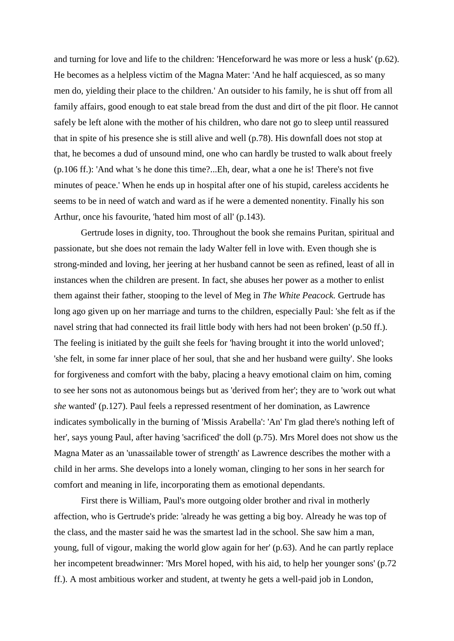and turning for love and life to the children: 'Henceforward he was more or less a husk' (p.62). He becomes as a helpless victim of the Magna Mater: 'And he half acquiesced, as so many men do, yielding their place to the children.' An outsider to his family, he is shut off from all family affairs, good enough to eat stale bread from the dust and dirt of the pit floor. He cannot safely be left alone with the mother of his children, who dare not go to sleep until reassured that in spite of his presence she is still alive and well (p.78). His downfall does not stop at that, he becomes a dud of unsound mind, one who can hardly be trusted to walk about freely (p.106 ff.): 'And what 's he done this time?...Eh, dear, what a one he is! There's not five minutes of peace.' When he ends up in hospital after one of his stupid, careless accidents he seems to be in need of watch and ward as if he were a demented nonentity. Finally his son Arthur, once his favourite, 'hated him most of all' (p.143).

Gertrude loses in dignity, too. Throughout the book she remains Puritan, spiritual and passionate, but she does not remain the lady Walter fell in love with. Even though she is strong-minded and loving, her jeering at her husband cannot be seen as refined, least of all in instances when the children are present. In fact, she abuses her power as a mother to enlist them against their father, stooping to the level of Meg in *The White Peacock.* Gertrude has long ago given up on her marriage and turns to the children, especially Paul: 'she felt as if the navel string that had connected its frail little body with hers had not been broken' (p.50 ff.). The feeling is initiated by the guilt she feels for 'having brought it into the world unloved'; 'she felt, in some far inner place of her soul, that she and her husband were guilty'. She looks for forgiveness and comfort with the baby, placing a heavy emotional claim on him, coming to see her sons not as autonomous beings but as 'derived from her'; they are to 'work out what *she* wanted' (p.127). Paul feels a repressed resentment of her domination, as Lawrence indicates symbolically in the burning of 'Missis Arabella': 'An' I'm glad there's nothing left of her', says young Paul, after having 'sacrificed' the doll (p.75). Mrs Morel does not show us the Magna Mater as an 'unassailable tower of strength' as Lawrence describes the mother with a child in her arms. She develops into a lonely woman, clinging to her sons in her search for comfort and meaning in life, incorporating them as emotional dependants.

First there is William, Paul's more outgoing older brother and rival in motherly affection, who is Gertrude's pride: 'already he was getting a big boy. Already he was top of the class, and the master said he was the smartest lad in the school. She saw him a man, young, full of vigour, making the world glow again for her' (p.63). And he can partly replace her incompetent breadwinner: 'Mrs Morel hoped, with his aid, to help her younger sons' (p.72 ff.). A most ambitious worker and student, at twenty he gets a well-paid job in London,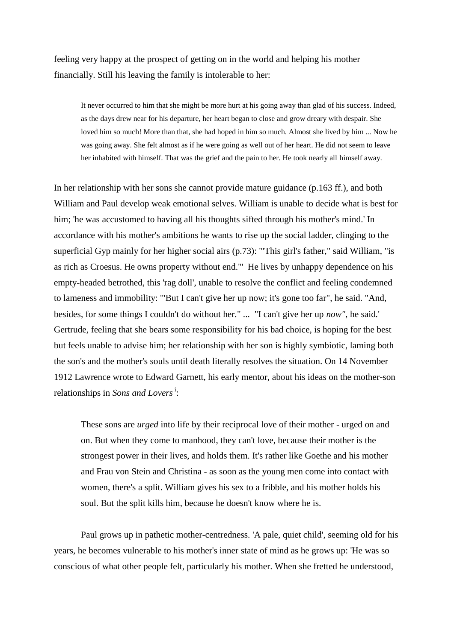feeling very happy at the prospect of getting on in the world and helping his mother financially. Still his leaving the family is intolerable to her:

It never occurred to him that she might be more hurt at his going away than glad of his success. Indeed, as the days drew near for his departure, her heart began to close and grow dreary with despair. She loved him so much! More than that, she had hoped in him so much. Almost she lived by him ... Now he was going away. She felt almost as if he were going as well out of her heart. He did not seem to leave her inhabited with himself. That was the grief and the pain to her. He took nearly all himself away.

In her relationship with her sons she cannot provide mature guidance (p.163 ff.), and both William and Paul develop weak emotional selves. William is unable to decide what is best for him; 'he was accustomed to having all his thoughts sifted through his mother's mind.' In accordance with his mother's ambitions he wants to rise up the social ladder, clinging to the superficial Gyp mainly for her higher social airs (p.73): '"This girl's father," said William, "is as rich as Croesus. He owns property without end."' He lives by unhappy dependence on his empty-headed betrothed, this 'rag doll', unable to resolve the conflict and feeling condemned to lameness and immobility: '"But I can't give her up now; it's gone too far", he said. "And, besides, for some things I couldn't do without her." ... "I can't give her up *now",* he said*.*' Gertrude, feeling that she bears some responsibility for his bad choice, is hoping for the best but feels unable to advise him; her relationship with her son is highly symbiotic, laming both the son's and the mother's souls until death literally resolves the situation. On 14 November 1912 Lawrence wrote to Edward Garnett, his early mentor, about his ideas on the mother-son relationships in *Sons and Lovers*<sup>i</sup>:

These sons are *urged* into life by their reciprocal love of their mother - urged on and on. But when they come to manhood, they can't love, because their mother is the strongest power in their lives, and holds them. It's rather like Goethe and his mother and Frau von Stein and Christina - as soon as the young men come into contact with women, there's a split. William gives his sex to a fribble, and his mother holds his soul. But the split kills him, because he doesn't know where he is.

Paul grows up in pathetic mother-centredness. 'A pale, quiet child', seeming old for his years, he becomes vulnerable to his mother's inner state of mind as he grows up: 'He was so conscious of what other people felt, particularly his mother. When she fretted he understood,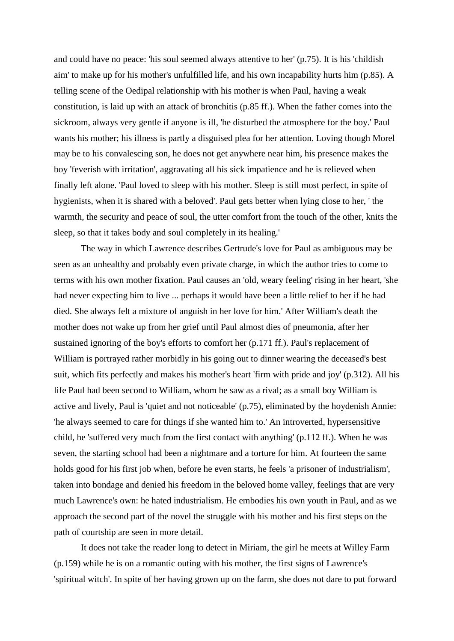and could have no peace: 'his soul seemed always attentive to her' (p.75). It is his 'childish aim' to make up for his mother's unfulfilled life, and his own incapability hurts him (p.85). A telling scene of the Oedipal relationship with his mother is when Paul, having a weak constitution, is laid up with an attack of bronchitis (p.85 ff.). When the father comes into the sickroom, always very gentle if anyone is ill, 'he disturbed the atmosphere for the boy.' Paul wants his mother; his illness is partly a disguised plea for her attention. Loving though Morel may be to his convalescing son, he does not get anywhere near him, his presence makes the boy 'feverish with irritation', aggravating all his sick impatience and he is relieved when finally left alone. 'Paul loved to sleep with his mother. Sleep is still most perfect, in spite of hygienists, when it is shared with a beloved'. Paul gets better when lying close to her, ' the warmth, the security and peace of soul, the utter comfort from the touch of the other, knits the sleep, so that it takes body and soul completely in its healing.'

The way in which Lawrence describes Gertrude's love for Paul as ambiguous may be seen as an unhealthy and probably even private charge, in which the author tries to come to terms with his own mother fixation. Paul causes an 'old, weary feeling' rising in her heart, 'she had never expecting him to live ... perhaps it would have been a little relief to her if he had died. She always felt a mixture of anguish in her love for him.' After William's death the mother does not wake up from her grief until Paul almost dies of pneumonia, after her sustained ignoring of the boy's efforts to comfort her (p.171 ff.). Paul's replacement of William is portrayed rather morbidly in his going out to dinner wearing the deceased's best suit, which fits perfectly and makes his mother's heart 'firm with pride and joy' (p.312). All his life Paul had been second to William, whom he saw as a rival; as a small boy William is active and lively, Paul is 'quiet and not noticeable' (p.75), eliminated by the hoydenish Annie: 'he always seemed to care for things if she wanted him to.' An introverted, hypersensitive child, he 'suffered very much from the first contact with anything' (p.112 ff.). When he was seven, the starting school had been a nightmare and a torture for him. At fourteen the same holds good for his first job when, before he even starts, he feels 'a prisoner of industrialism', taken into bondage and denied his freedom in the beloved home valley, feelings that are very much Lawrence's own: he hated industrialism. He embodies his own youth in Paul, and as we approach the second part of the novel the struggle with his mother and his first steps on the path of courtship are seen in more detail.

It does not take the reader long to detect in Miriam, the girl he meets at Willey Farm (p.159) while he is on a romantic outing with his mother, the first signs of Lawrence's 'spiritual witch'. In spite of her having grown up on the farm, she does not dare to put forward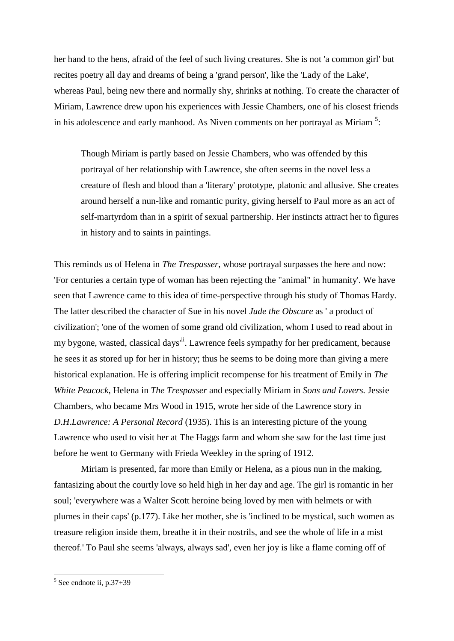her hand to the hens, afraid of the feel of such living creatures. She is not 'a common girl' but recites poetry all day and dreams of being a 'grand person', like the 'Lady of the Lake', whereas Paul, being new there and normally shy, shrinks at nothing. To create the character of Miriam, Lawrence drew upon his experiences with Jessie Chambers, one of his closest friends in his adolescence and early manhood. As Niven comments on her portrayal as Miriam  $5$ :

Though Miriam is partly based on Jessie Chambers, who was offended by this portrayal of her relationship with Lawrence, she often seems in the novel less a creature of flesh and blood than a 'literary' prototype, platonic and allusive. She creates around herself a nun-like and romantic purity, giving herself to Paul more as an act of self-martyrdom than in a spirit of sexual partnership. Her instincts attract her to figures in history and to saints in paintings.

This reminds us of Helena in *The Trespasser*, whose portrayal surpasses the here and now: 'For centuries a certain type of woman has been rejecting the "animal" in humanity'. We have seen that Lawrence came to this idea of time-perspective through his study of Thomas Hardy. The latter described the character of Sue in his novel *Jude the Obscure* as ' a product of civilization'; 'one of the women of some grand old civilization, whom I used to read about in my bygone, wasted, classical days<sup> $\ddot{u}$ </sup>. Lawrence feels sympathy for her predicament, because he sees it as stored up for her in history; thus he seems to be doing more than giving a mere historical explanation. He is offering implicit recompense for his treatment of Emily in *The White Peacock,* Helena in *The Trespasser* and especially Miriam in *Sons and Lovers.* Jessie Chambers, who became Mrs Wood in 1915, wrote her side of the Lawrence story in *D.H.Lawrence: A Personal Record* (1935). This is an interesting picture of the young Lawrence who used to visit her at The Haggs farm and whom she saw for the last time just before he went to Germany with Frieda Weekley in the spring of 1912.

Miriam is presented, far more than Emily or Helena, as a pious nun in the making, fantasizing about the courtly love so held high in her day and age. The girl is romantic in her soul; 'everywhere was a Walter Scott heroine being loved by men with helmets or with plumes in their caps' (p.177). Like her mother, she is 'inclined to be mystical, such women as treasure religion inside them, breathe it in their nostrils, and see the whole of life in a mist thereof.' To Paul she seems 'always, always sad', even her joy is like a flame coming off of

 $\frac{1}{5}$  See endnote ii, p.37+39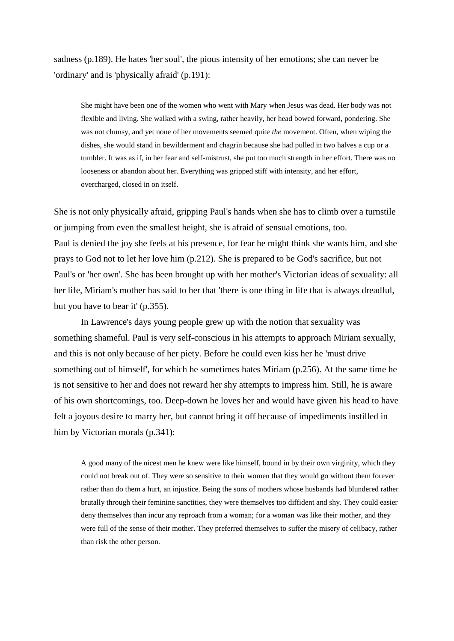sadness (p.189). He hates 'her soul', the pious intensity of her emotions; she can never be 'ordinary' and is 'physically afraid' (p.191):

She might have been one of the women who went with Mary when Jesus was dead. Her body was not flexible and living. She walked with a swing, rather heavily, her head bowed forward, pondering. She was not clumsy, and yet none of her movements seemed quite *the* movement. Often, when wiping the dishes, she would stand in bewilderment and chagrin because she had pulled in two halves a cup or a tumbler. It was as if, in her fear and self-mistrust, she put too much strength in her effort. There was no looseness or abandon about her. Everything was gripped stiff with intensity, and her effort, overcharged, closed in on itself.

She is not only physically afraid, gripping Paul's hands when she has to climb over a turnstile or jumping from even the smallest height, she is afraid of sensual emotions, too. Paul is denied the joy she feels at his presence, for fear he might think she wants him, and she prays to God not to let her love him (p.212). She is prepared to be God's sacrifice, but not Paul's or 'her own'. She has been brought up with her mother's Victorian ideas of sexuality: all her life, Miriam's mother has said to her that 'there is one thing in life that is always dreadful, but you have to bear it' (p.355).

In Lawrence's days young people grew up with the notion that sexuality was something shameful. Paul is very self-conscious in his attempts to approach Miriam sexually, and this is not only because of her piety. Before he could even kiss her he 'must drive something out of himself', for which he sometimes hates Miriam (p.256). At the same time he is not sensitive to her and does not reward her shy attempts to impress him. Still, he is aware of his own shortcomings, too. Deep-down he loves her and would have given his head to have felt a joyous desire to marry her, but cannot bring it off because of impediments instilled in him by Victorian morals (p.341):

A good many of the nicest men he knew were like himself, bound in by their own virginity, which they could not break out of. They were so sensitive to their women that they would go without them forever rather than do them a hurt, an injustice. Being the sons of mothers whose husbands had blundered rather brutally through their feminine sanctities, they were themselves too diffident and shy. They could easier deny themselves than incur any reproach from a woman; for a woman was like their mother, and they were full of the sense of their mother. They preferred themselves to suffer the misery of celibacy, rather than risk the other person.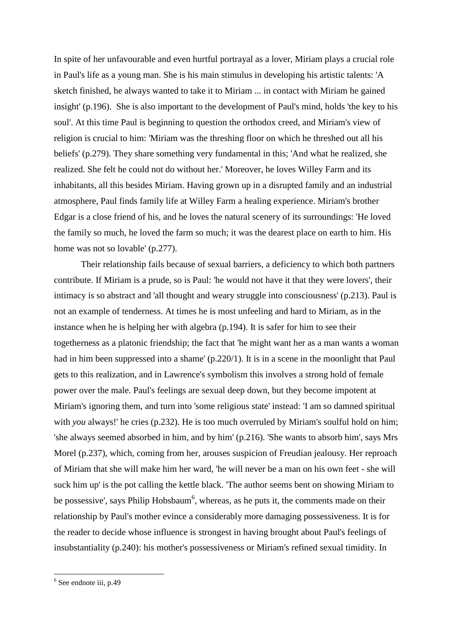In spite of her unfavourable and even hurtful portrayal as a lover, Miriam plays a crucial role in Paul's life as a young man. She is his main stimulus in developing his artistic talents: 'A sketch finished, he always wanted to take it to Miriam ... in contact with Miriam he gained insight' (p.196). She is also important to the development of Paul's mind, holds 'the key to his soul'. At this time Paul is beginning to question the orthodox creed, and Miriam's view of religion is crucial to him: 'Miriam was the threshing floor on which he threshed out all his beliefs' (p.279). They share something very fundamental in this; 'And what he realized, she realized. She felt he could not do without her.' Moreover, he loves Willey Farm and its inhabitants, all this besides Miriam. Having grown up in a disrupted family and an industrial atmosphere, Paul finds family life at Willey Farm a healing experience. Miriam's brother Edgar is a close friend of his, and he loves the natural scenery of its surroundings: 'He loved the family so much, he loved the farm so much; it was the dearest place on earth to him. His home was not so lovable' (p.277).

Their relationship fails because of sexual barriers, a deficiency to which both partners contribute. If Miriam is a prude, so is Paul: 'he would not have it that they were lovers', their intimacy is so abstract and 'all thought and weary struggle into consciousness' (p.213). Paul is not an example of tenderness. At times he is most unfeeling and hard to Miriam, as in the instance when he is helping her with algebra (p.194). It is safer for him to see their togetherness as a platonic friendship; the fact that 'he might want her as a man wants a woman had in him been suppressed into a shame' (p.220/1). It is in a scene in the moonlight that Paul gets to this realization, and in Lawrence's symbolism this involves a strong hold of female power over the male. Paul's feelings are sexual deep down, but they become impotent at Miriam's ignoring them, and turn into 'some religious state' instead: 'I am so damned spiritual with *you* always!' he cries (p.232). He is too much overruled by Miriam's soulful hold on him; 'she always seemed absorbed in him, and by him' (p.216). 'She wants to absorb him', says Mrs Morel (p.237), which, coming from her, arouses suspicion of Freudian jealousy. Her reproach of Miriam that she will make him her ward, 'he will never be a man on his own feet - she will suck him up' is the pot calling the kettle black. 'The author seems bent on showing Miriam to be possessive', says Philip Hobsbaum<sup>6</sup>, whereas, as he puts it, the comments made on their relationship by Paul's mother evince a considerably more damaging possessiveness. It is for the reader to decide whose influence is strongest in having brought about Paul's feelings of insubstantiality (p.240): his mother's possessiveness or Miriam's refined sexual timidity. In

<sup>&</sup>lt;sup>6</sup> See endnote iii, p.49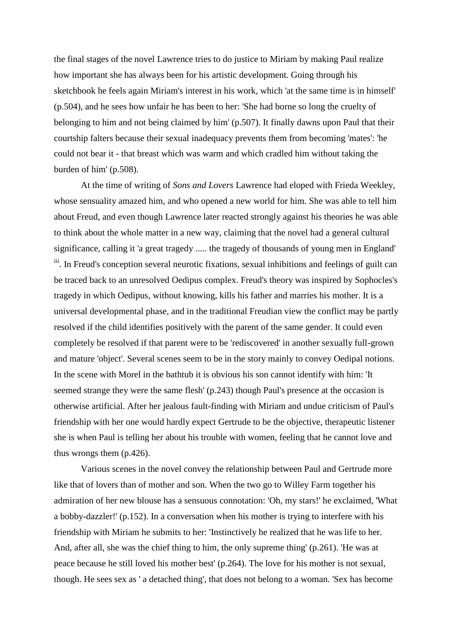the final stages of the novel Lawrence tries to do justice to Miriam by making Paul realize how important she has always been for his artistic development. Going through his sketchbook he feels again Miriam's interest in his work, which 'at the same time is in himself' (p.504), and he sees how unfair he has been to her: 'She had borne so long the cruelty of belonging to him and not being claimed by him' (p.507). It finally dawns upon Paul that their courtship falters because their sexual inadequacy prevents them from becoming 'mates': 'he could not bear it - that breast which was warm and which cradled him without taking the burden of him' (p.508).

At the time of writing of *Sons and Lovers* Lawrence had eloped with Frieda Weekley, whose sensuality amazed him, and who opened a new world for him. She was able to tell him about Freud, and even though Lawrence later reacted strongly against his theories he was able to think about the whole matter in a new way, claiming that the novel had a general cultural significance, calling it 'a great tragedy ..... the tragedy of thousands of young men in England' <sup>iii</sup>. In Freud's conception several neurotic fixations, sexual inhibitions and feelings of guilt can be traced back to an unresolved Oedipus complex. Freud's theory was inspired by Sophocles's tragedy in which Oedipus, without knowing, kills his father and marries his mother. It is a universal developmental phase, and in the traditional Freudian view the conflict may be partly resolved if the child identifies positively with the parent of the same gender. It could even completely be resolved if that parent were to be 'rediscovered' in another sexually full-grown and mature 'object'. Several scenes seem to be in the story mainly to convey Oedipal notions. In the scene with Morel in the bathtub it is obvious his son cannot identify with him: 'It seemed strange they were the same flesh' (p.243) though Paul's presence at the occasion is otherwise artificial. After her jealous fault-finding with Miriam and undue criticism of Paul's friendship with her one would hardly expect Gertrude to be the objective, therapeutic listener she is when Paul is telling her about his trouble with women, feeling that he cannot love and thus wrongs them (p.426).

Various scenes in the novel convey the relationship between Paul and Gertrude more like that of lovers than of mother and son. When the two go to Willey Farm together his admiration of her new blouse has a sensuous connotation: 'Oh, my stars!' he exclaimed, 'What a bobby-dazzler!' (p.152). In a conversation when his mother is trying to interfere with his friendship with Miriam he submits to her: 'Instinctively he realized that he was life to her. And, after all, she was the chief thing to him, the only supreme thing' (p.261). 'He was at peace because he still loved his mother best' (p.264). The love for his mother is not sexual, though. He sees sex as ' a detached thing', that does not belong to a woman. 'Sex has become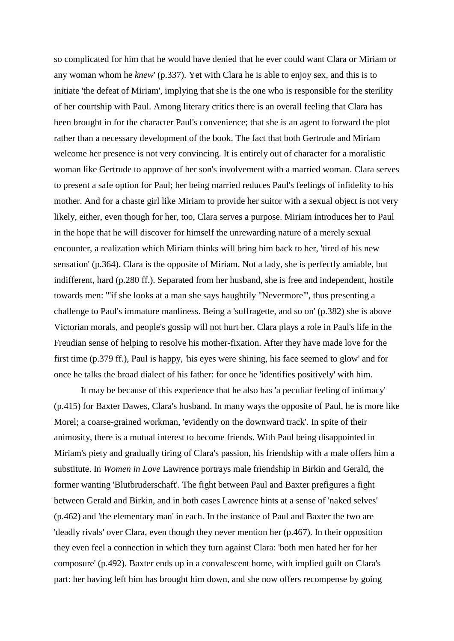so complicated for him that he would have denied that he ever could want Clara or Miriam or any woman whom he *knew*' (p.337). Yet with Clara he is able to enjoy sex, and this is to initiate 'the defeat of Miriam', implying that she is the one who is responsible for the sterility of her courtship with Paul. Among literary critics there is an overall feeling that Clara has been brought in for the character Paul's convenience; that she is an agent to forward the plot rather than a necessary development of the book. The fact that both Gertrude and Miriam welcome her presence is not very convincing. It is entirely out of character for a moralistic woman like Gertrude to approve of her son's involvement with a married woman. Clara serves to present a safe option for Paul; her being married reduces Paul's feelings of infidelity to his mother. And for a chaste girl like Miriam to provide her suitor with a sexual object is not very likely, either, even though for her, too, Clara serves a purpose. Miriam introduces her to Paul in the hope that he will discover for himself the unrewarding nature of a merely sexual encounter, a realization which Miriam thinks will bring him back to her, 'tired of his new sensation' (p.364). Clara is the opposite of Miriam. Not a lady, she is perfectly amiable, but indifferent, hard (p.280 ff.). Separated from her husband, she is free and independent, hostile towards men: '"if she looks at a man she says haughtily "Nevermore"', thus presenting a challenge to Paul's immature manliness. Being a 'suffragette, and so on' (p.382) she is above Victorian morals, and people's gossip will not hurt her. Clara plays a role in Paul's life in the Freudian sense of helping to resolve his mother-fixation. After they have made love for the first time (p.379 ff.), Paul is happy, 'his eyes were shining, his face seemed to glow' and for once he talks the broad dialect of his father: for once he 'identifies positively' with him.

It may be because of this experience that he also has 'a peculiar feeling of intimacy' (p.415) for Baxter Dawes, Clara's husband. In many ways the opposite of Paul, he is more like Morel; a coarse-grained workman, 'evidently on the downward track'. In spite of their animosity, there is a mutual interest to become friends. With Paul being disappointed in Miriam's piety and gradually tiring of Clara's passion, his friendship with a male offers him a substitute. In *Women in Love* Lawrence portrays male friendship in Birkin and Gerald, the former wanting 'Blutbruderschaft'. The fight between Paul and Baxter prefigures a fight between Gerald and Birkin, and in both cases Lawrence hints at a sense of 'naked selves' (p.462) and 'the elementary man' in each. In the instance of Paul and Baxter the two are 'deadly rivals' over Clara, even though they never mention her (p.467). In their opposition they even feel a connection in which they turn against Clara: 'both men hated her for her composure' (p.492). Baxter ends up in a convalescent home, with implied guilt on Clara's part: her having left him has brought him down, and she now offers recompense by going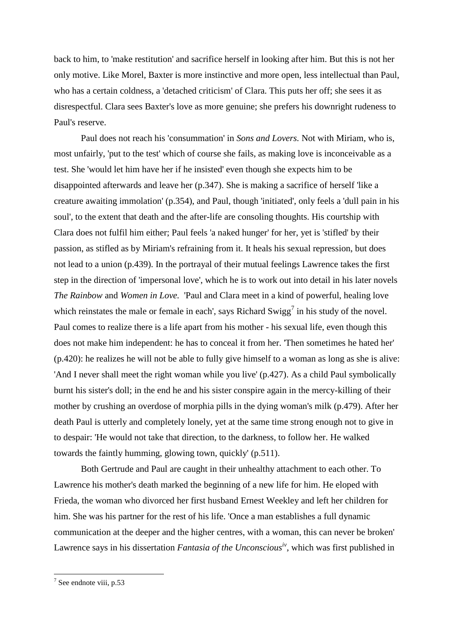back to him, to 'make restitution' and sacrifice herself in looking after him. But this is not her only motive. Like Morel, Baxter is more instinctive and more open, less intellectual than Paul, who has a certain coldness, a 'detached criticism' of Clara. This puts her off; she sees it as disrespectful. Clara sees Baxter's love as more genuine; she prefers his downright rudeness to Paul's reserve.

Paul does not reach his 'consummation' in *Sons and Lovers.* Not with Miriam, who is, most unfairly, 'put to the test' which of course she fails, as making love is inconceivable as a test. She 'would let him have her if he insisted' even though she expects him to be disappointed afterwards and leave her (p.347). She is making a sacrifice of herself 'like a creature awaiting immolation' (p.354), and Paul, though 'initiated', only feels a 'dull pain in his soul', to the extent that death and the after-life are consoling thoughts. His courtship with Clara does not fulfil him either; Paul feels 'a naked hunger' for her, yet is 'stifled' by their passion, as stifled as by Miriam's refraining from it. It heals his sexual repression, but does not lead to a union (p.439). In the portrayal of their mutual feelings Lawrence takes the first step in the direction of 'impersonal love', which he is to work out into detail in his later novels *The Rainbow* and *Women in Love.* 'Paul and Clara meet in a kind of powerful, healing love which reinstates the male or female in each', says Richard Swigg<sup>7</sup> in his study of the novel. Paul comes to realize there is a life apart from his mother - his sexual life, even though this does not make him independent: he has to conceal it from her. 'Then sometimes he hated her' (p.420): he realizes he will not be able to fully give himself to a woman as long as she is alive: 'And I never shall meet the right woman while you live' (p.427). As a child Paul symbolically burnt his sister's doll; in the end he and his sister conspire again in the mercy-killing of their mother by crushing an overdose of morphia pills in the dying woman's milk (p.479). After her death Paul is utterly and completely lonely, yet at the same time strong enough not to give in to despair: 'He would not take that direction, to the darkness, to follow her. He walked towards the faintly humming, glowing town, quickly' (p.511).

Both Gertrude and Paul are caught in their unhealthy attachment to each other. To Lawrence his mother's death marked the beginning of a new life for him. He eloped with Frieda, the woman who divorced her first husband Ernest Weekley and left her children for him. She was his partner for the rest of his life. 'Once a man establishes a full dynamic communication at the deeper and the higher centres, with a woman, this can never be broken' Lawrence says in his dissertation *Fantasia of the Unconsciousiv*, which was first published in

 $7$  See endnote viii, p.53